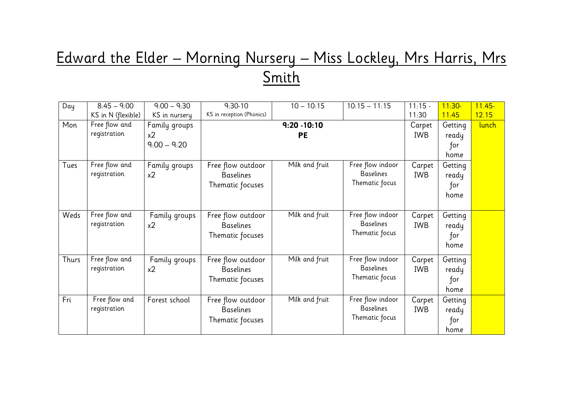## Edward the Elder – Morning Nursery – Miss Lockley, Mrs Harris, Mrs Smith

| Day   | $8:45 - 9:00$      | $9:00 - 9:30$                   | $9:30-10$                             | $10 - 10:15$   | $10:15 - 11:15$                      | $11:15 -$            | $11:30-$ | $11.45 -$ |
|-------|--------------------|---------------------------------|---------------------------------------|----------------|--------------------------------------|----------------------|----------|-----------|
|       | KS in N (flexible) | KS in nursery                   | KS in reception (Phonics)             |                |                                      | 11:30                | 11:45    | 12.15     |
| Mon   | Free flow and      | Family groups                   |                                       | $9:20 - 10:10$ |                                      | Carpet               | Getting  | lunch     |
|       | registration       | x <sub>2</sub>                  |                                       | <b>PE</b>      |                                      | <b>IWB</b>           | ready    |           |
|       |                    | $9:00 - 9:20$                   |                                       |                |                                      |                      | for      |           |
|       |                    |                                 |                                       |                |                                      |                      | home     |           |
| Tues  | Free flow and      | Family groups                   | Free flow outdoor                     | Milk and fruit | Free flow indoor                     | Carpet               | Getting  |           |
|       | registration       | x <sub>2</sub>                  | <b>Baselines</b>                      |                | <b>Baselines</b>                     | <b>IWB</b>           | ready    |           |
|       |                    |                                 | Thematic focuses                      |                | Thematic focus                       |                      | for      |           |
|       |                    |                                 |                                       |                |                                      |                      | home     |           |
|       |                    |                                 |                                       |                |                                      |                      |          |           |
| Weds  | Free flow and      | Family groups                   | Free flow outdoor                     | Milk and fruit | Free flow indoor                     | Carpet               | Getting  |           |
|       | registration       | x <sub>2</sub>                  | <b>Baselines</b>                      |                | <b>Baselines</b>                     | <b>IWB</b>           | ready    |           |
|       |                    |                                 | Thematic focuses                      |                | Thematic focus                       |                      | for      |           |
|       |                    |                                 |                                       |                |                                      |                      | home     |           |
| Thurs | Free flow and      |                                 |                                       | Milk and fruit | Free flow indoor                     |                      |          |           |
|       | registration       | Family groups<br>x <sub>2</sub> | Free flow outdoor<br><b>Baselines</b> |                | <b>Baselines</b>                     | Carpet<br><b>IWB</b> | Getting  |           |
|       |                    |                                 |                                       |                | Thematic focus                       |                      | ready    |           |
|       |                    |                                 | Thematic focuses                      |                |                                      |                      | for      |           |
|       |                    |                                 |                                       |                |                                      |                      | home     |           |
| Fri   | Free flow and      | Forest school                   | Free flow outdoor                     | Milk and fruit | Free flow indoor<br><b>Baselines</b> | Carpet               | Getting  |           |
|       | registration       |                                 | <b>Baselines</b>                      |                | Thematic focus                       | <b>IWB</b>           | ready    |           |
|       |                    |                                 | Thematic focuses                      |                |                                      |                      | for      |           |
|       |                    |                                 |                                       |                |                                      |                      | home     |           |